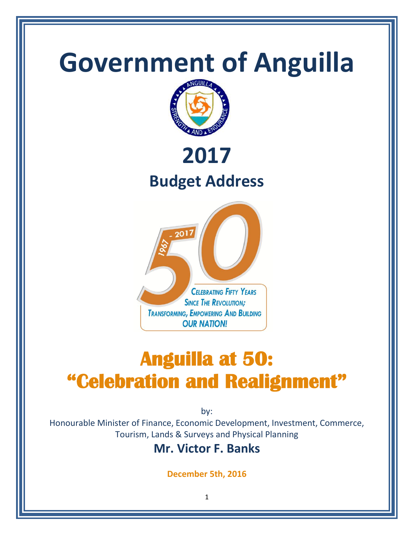

# **"Celebration and Realignment"**

by:

Honourable Minister of Finance, Economic Development, Investment, Commerce, Tourism, Lands & Surveys and Physical Planning

# **Mr. Victor F. Banks**

**December 5th, 2016**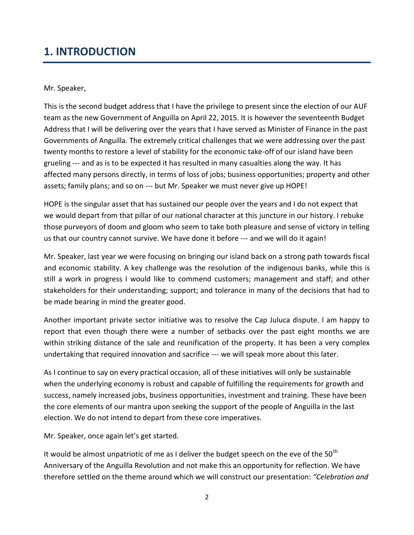# **1. INTRODUCTION**

#### Mr. Speaker,

This is the second budget address that I have the privilege to present since the election of our AUF team as the new Government of Anguilla on April 22, 2015. It is however the seventeenth Budget Address that I will be delivering over the years that I have served as Minister of Finance in the past Governments of Anguilla. The extremely critical challenges that we were addressing over the past twenty months to restore a level of stability for the economic take-off of our island have been grueling --- and as is to be expected it has resulted in many casualties along the way. It has affected many persons directly, in terms of loss of jobs; business opportunities; property and other assets; family plans; and so on --- but Mr. Speaker we must never give up HOPE!

HOPE is the singular asset that has sustained our people over the years and I do not expect that we would depart from that pillar of our national character at this juncture in our history. I rebuke those purveyors of doom and gloom who seem to take both pleasure and sense of victory in telling us that our country cannot survive. We have done it before --- and we will do it again!

Mr. Speaker, last year we were focusing on bringing our island back on a strong path towards fiscal and economic stability. A key challenge was the resolution of the indigenous banks, while this is still a work in progress I would like to commend customers; management and staff; and other stakeholders for their understanding; support; and tolerance in many of the decisions that had to be made bearing in mind the greater good.

Another important private sector initiative was to resolve the Cap Juluca dispute. I am happy to report that even though there were a number of setbacks over the past eight months we are within striking distance of the sale and reunification of the property. It has been a very complex undertaking that required innovation and sacrifice --- we will speak more about this later.

As I continue to say on every practical occasion, all of these initiatives will only be sustainable when the underlying economy is robust and capable of fulfilling the requirements for growth and success, namely increased jobs, business opportunities, investment and training. These have been the core elements of our mantra upon seeking the support of the people of Anguilla in the last election. We do not intend to depart from these core imperatives.

Mr. Speaker, once again let's get started.

It would be almost unpatriotic of me as I deliver the budget speech on the eve of the  $50<sup>th</sup>$ Anniversary of the Anguilla Revolution and not make this an opportunity for reflection. We have therefore settled on the theme around which we will construct our presentation: *"Celebration and*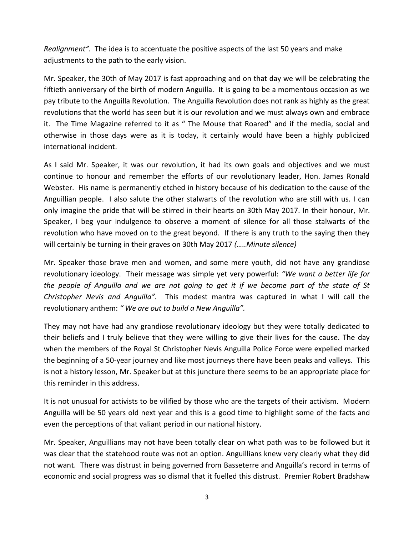*Realignment".* The idea is to accentuate the positive aspects of the last 50 years and make adjustments to the path to the early vision.

Mr. Speaker, the 30th of May 2017 is fast approaching and on that day we will be celebrating the fiftieth anniversary of the birth of modern Anguilla. It is going to be a momentous occasion as we pay tribute to the Anguilla Revolution. The Anguilla Revolution does not rank as highly as the great revolutions that the world has seen but it is our revolution and we must always own and embrace it. The Time Magazine referred to it as " The Mouse that Roared" and if the media, social and otherwise in those days were as it is today, it certainly would have been a highly publicized international incident.

As I said Mr. Speaker, it was our revolution, it had its own goals and objectives and we must continue to honour and remember the efforts of our revolutionary leader, Hon. James Ronald Webster. His name is permanently etched in history because of his dedication to the cause of the Anguillian people. I also salute the other stalwarts of the revolution who are still with us. I can only imagine the pride that will be stirred in their hearts on 30th May 2017. In their honour, Mr. Speaker, I beg your indulgence to observe a moment of silence for all those stalwarts of the revolution who have moved on to the great beyond. If there is any truth to the saying then they will certainly be turning in their graves on 30th May 2017 *(…..Minute silence)*

Mr. Speaker those brave men and women, and some mere youth, did not have any grandiose revolutionary ideology. Their message was simple yet very powerful: *"We want a better life for the people of Anguilla and we are not going to get it if we become part of the state of St Christopher Nevis and Anguilla".* This modest mantra was captured in what I will call the revolutionary anthem: *" We are out to build a New Anguilla".*

They may not have had any grandiose revolutionary ideology but they were totally dedicated to their beliefs and I truly believe that they were willing to give their lives for the cause. The day when the members of the Royal St Christopher Nevis Anguilla Police Force were expelled marked the beginning of a 50-year journey and like most journeys there have been peaks and valleys. This is not a history lesson, Mr. Speaker but at this juncture there seems to be an appropriate place for this reminder in this address.

It is not unusual for activists to be vilified by those who are the targets of their activism. Modern Anguilla will be 50 years old next year and this is a good time to highlight some of the facts and even the perceptions of that valiant period in our national history.

Mr. Speaker, Anguillians may not have been totally clear on what path was to be followed but it was clear that the statehood route was not an option. Anguillians knew very clearly what they did not want. There was distrust in being governed from Basseterre and Anguilla's record in terms of economic and social progress was so dismal that it fuelled this distrust. Premier Robert Bradshaw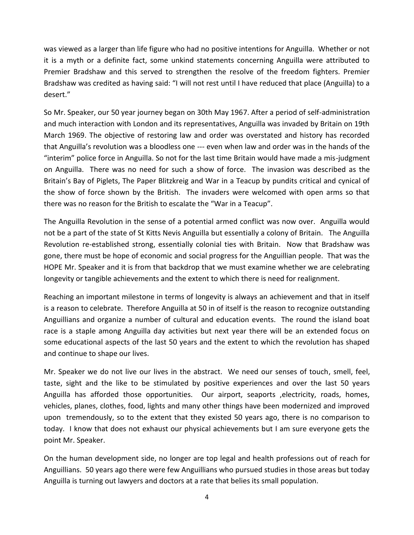was viewed as a larger than life figure who had no positive intentions for Anguilla. Whether or not it is a myth or a definite fact, some unkind statements concerning Anguilla were attributed to Premier Bradshaw and this served to strengthen the resolve of the freedom fighters. Premier Bradshaw was credited as having said: "I will not rest until I have reduced that place (Anguilla) to a desert."

So Mr. Speaker, our 50 year journey began on 30th May 1967. After a period of self-administration and much interaction with London and its representatives, Anguilla was invaded by Britain on 19th March 1969. The objective of restoring law and order was overstated and history has recorded that Anguilla's revolution was a bloodless one --- even when law and order was in the hands of the "interim" police force in Anguilla. So not for the last time Britain would have made a mis-judgment on Anguilla. There was no need for such a show of force. The invasion was described as the Britain's Bay of Piglets, The Paper Blitzkreig and War in a Teacup by pundits critical and cynical of the show of force shown by the British. The invaders were welcomed with open arms so that there was no reason for the British to escalate the "War in a Teacup".

The Anguilla Revolution in the sense of a potential armed conflict was now over. Anguilla would not be a part of the state of St Kitts Nevis Anguilla but essentially a colony of Britain. The Anguilla Revolution re-established strong, essentially colonial ties with Britain. Now that Bradshaw was gone, there must be hope of economic and social progress for the Anguillian people. That was the HOPE Mr. Speaker and it is from that backdrop that we must examine whether we are celebrating longevity or tangible achievements and the extent to which there is need for realignment.

Reaching an important milestone in terms of longevity is always an achievement and that in itself is a reason to celebrate. Therefore Anguilla at 50 in of itself is the reason to recognize outstanding Anguillians and organize a number of cultural and education events. The round the island boat race is a staple among Anguilla day activities but next year there will be an extended focus on some educational aspects of the last 50 years and the extent to which the revolution has shaped and continue to shape our lives.

Mr. Speaker we do not live our lives in the abstract. We need our senses of touch, smell, feel, taste, sight and the like to be stimulated by positive experiences and over the last 50 years Anguilla has afforded those opportunities. Our airport, seaports , electricity, roads, homes, vehicles, planes, clothes, food, lights and many other things have been modernized and improved upon tremendously, so to the extent that they existed 50 years ago, there is no comparison to today. I know that does not exhaust our physical achievements but I am sure everyone gets the point Mr. Speaker.

On the human development side, no longer are top legal and health professions out of reach for Anguillians. 50 years ago there were few Anguillians who pursued studies in those areas but today Anguilla is turning out lawyers and doctors at a rate that belies its small population.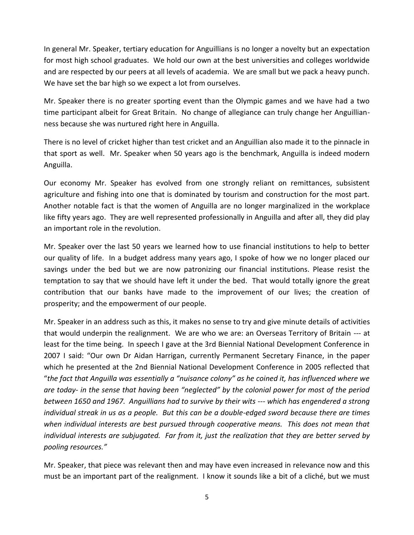In general Mr. Speaker, tertiary education for Anguillians is no longer a novelty but an expectation for most high school graduates. We hold our own at the best universities and colleges worldwide and are respected by our peers at all levels of academia. We are small but we pack a heavy punch. We have set the bar high so we expect a lot from ourselves.

Mr. Speaker there is no greater sporting event than the Olympic games and we have had a two time participant albeit for Great Britain. No change of allegiance can truly change her Anguillianness because she was nurtured right here in Anguilla.

There is no level of cricket higher than test cricket and an Anguillian also made it to the pinnacle in that sport as well. Mr. Speaker when 50 years ago is the benchmark, Anguilla is indeed modern Anguilla.

Our economy Mr. Speaker has evolved from one strongly reliant on remittances, subsistent agriculture and fishing into one that is dominated by tourism and construction for the most part. Another notable fact is that the women of Anguilla are no longer marginalized in the workplace like fifty years ago. They are well represented professionally in Anguilla and after all, they did play an important role in the revolution.

Mr. Speaker over the last 50 years we learned how to use financial institutions to help to better our quality of life. In a budget address many years ago, I spoke of how we no longer placed our savings under the bed but we are now patronizing our financial institutions. Please resist the temptation to say that we should have left it under the bed. That would totally ignore the great contribution that our banks have made to the improvement of our lives; the creation of prosperity; and the empowerment of our people.

Mr. Speaker in an address such as this, it makes no sense to try and give minute details of activities that would underpin the realignment. We are who we are: an Overseas Territory of Britain --- at least for the time being. In speech I gave at the 3rd Biennial National Development Conference in 2007 I said: "Our own Dr Aidan Harrigan, currently Permanent Secretary Finance, in the paper which he presented at the 2nd Biennial National Development Conference in 2005 reflected that "*the fact that Anguilla was essentially a "nuisance colony" as he coined it, has influenced where we are today- in the sense that having been "neglected" by the colonial power for most of the period between 1650 and 1967. Anguillians had to survive by their wits --- which has engendered a strong individual streak in us as a people. But this can be a double-edged sword because there are times when individual interests are best pursued through cooperative means. This does not mean that individual interests are subjugated. Far from it, just the realization that they are better served by pooling resources."*

Mr. Speaker, that piece was relevant then and may have even increased in relevance now and this must be an important part of the realignment. I know it sounds like a bit of a cliché, but we must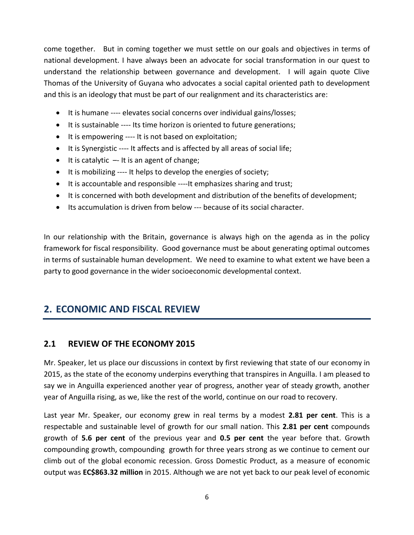come together. But in coming together we must settle on our goals and objectives in terms of national development. I have always been an advocate for social transformation in our quest to understand the relationship between governance and development. I will again quote Clive Thomas of the University of Guyana who advocates a social capital oriented path to development and this is an ideology that must be part of our realignment and its characteristics are:

- It is humane ---- elevates social concerns over individual gains/losses;
- It is sustainable ---- Its time horizon is oriented to future generations;
- It is empowering ---- It is not based on exploitation;
- It is Synergistic ---- It affects and is affected by all areas of social life;
- $\bullet$  It is catalytic  $-$  It is an agent of change;
- It is mobilizing ---- It helps to develop the energies of society;
- It is accountable and responsible ----It emphasizes sharing and trust;
- It is concerned with both development and distribution of the benefits of development;
- Its accumulation is driven from below --- because of its social character.

In our relationship with the Britain, governance is always high on the agenda as in the policy framework for fiscal responsibility. Good governance must be about generating optimal outcomes in terms of sustainable human development. We need to examine to what extent we have been a party to good governance in the wider socioeconomic developmental context.

# **2. ECONOMIC AND FISCAL REVIEW**

#### **2.1 REVIEW OF THE ECONOMY 2015**

Mr. Speaker, let us place our discussions in context by first reviewing that state of our economy in 2015, as the state of the economy underpins everything that transpires in Anguilla. I am pleased to say we in Anguilla experienced another year of progress, another year of steady growth, another year of Anguilla rising, as we, like the rest of the world, continue on our road to recovery.

Last year Mr. Speaker, our economy grew in real terms by a modest **2.81 per cent**. This is a respectable and sustainable level of growth for our small nation. This **2.81 per cent** compounds growth of **5.6 per cent** of the previous year and **0.5 per cent** the year before that. Growth compounding growth, compounding growth for three years strong as we continue to cement our climb out of the global economic recession. Gross Domestic Product, as a measure of economic output was **EC\$863.32 million** in 2015. Although we are not yet back to our peak level of economic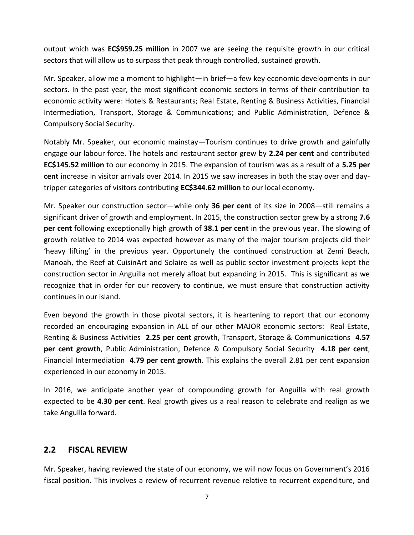output which was **EC\$959.25 million** in 2007 we are seeing the requisite growth in our critical sectors that will allow us to surpass that peak through controlled, sustained growth.

Mr. Speaker, allow me a moment to highlight—in brief—a few key economic developments in our sectors. In the past year, the most significant economic sectors in terms of their contribution to economic activity were: Hotels & Restaurants; Real Estate, Renting & Business Activities, Financial Intermediation, Transport, Storage & Communications; and Public Administration, Defence & Compulsory Social Security.

Notably Mr. Speaker, our economic mainstay—Tourism continues to drive growth and gainfully engage our labour force. The hotels and restaurant sector grew by **2.24 per cent** and contributed **EC\$145.52 million** to our economy in 2015. The expansion of tourism was as a result of a **5.25 per cent** increase in visitor arrivals over 2014. In 2015 we saw increases in both the stay over and daytripper categories of visitors contributing **EC\$344.62 million** to our local economy.

Mr. Speaker our construction sector—while only **36 per cent** of its size in 2008—still remains a significant driver of growth and employment. In 2015, the construction sector grew by a strong **7.6 per cent** following exceptionally high growth of **38.1 per cent** in the previous year. The slowing of growth relative to 2014 was expected however as many of the major tourism projects did their 'heavy lifting' in the previous year. Opportunely the continued construction at Zemi Beach, Manoah, the Reef at CuisinArt and Solaire as well as public sector investment projects kept the construction sector in Anguilla not merely afloat but expanding in 2015. This is significant as we recognize that in order for our recovery to continue, we must ensure that construction activity continues in our island.

Even beyond the growth in those pivotal sectors, it is heartening to report that our economy recorded an encouraging expansion in ALL of our other MAJOR economic sectors: Real Estate, Renting & Business Activities **2.25 per cent** growth, Transport, Storage & Communications **4.57 per cent growth**, Public Administration, Defence & Compulsory Social Security **4.18 per cent**, Financial Intermediation **4.79 per cent growth**. This explains the overall 2.81 per cent expansion experienced in our economy in 2015.

In 2016, we anticipate another year of compounding growth for Anguilla with real growth expected to be **4.30 per cent**. Real growth gives us a real reason to celebrate and realign as we take Anguilla forward.

## **2.2 FISCAL REVIEW**

Mr. Speaker, having reviewed the state of our economy, we will now focus on Government's 2016 fiscal position. This involves a review of recurrent revenue relative to recurrent expenditure, and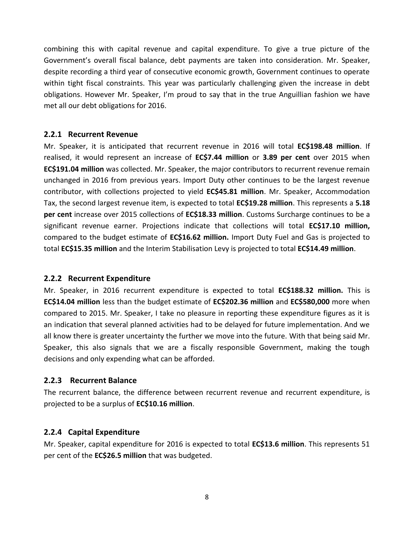combining this with capital revenue and capital expenditure. To give a true picture of the Government's overall fiscal balance, debt payments are taken into consideration. Mr. Speaker, despite recording a third year of consecutive economic growth, Government continues to operate within tight fiscal constraints. This year was particularly challenging given the increase in debt obligations. However Mr. Speaker, I'm proud to say that in the true Anguillian fashion we have met all our debt obligations for 2016.

#### **2.2.1 Recurrent Revenue**

Mr. Speaker, it is anticipated that recurrent revenue in 2016 will total **EC\$198.48 million**. If realised, it would represent an increase of **EC\$7.44 million** or **3.89 per cent** over 2015 when **EC\$191.04 million** was collected. Mr. Speaker, the major contributors to recurrent revenue remain unchanged in 2016 from previous years. Import Duty other continues to be the largest revenue contributor, with collections projected to yield **EC\$45.81 million**. Mr. Speaker, Accommodation Tax, the second largest revenue item, is expected to total **EC\$19.28 million**. This represents a **5.18 per cent** increase over 2015 collections of **EC\$18.33 million**. Customs Surcharge continues to be a significant revenue earner. Projections indicate that collections will total **EC\$17.10 million,**  compared to the budget estimate of **EC\$16.62 million.** Import Duty Fuel and Gas is projected to total **EC\$15.35 million** and the Interim Stabilisation Levy is projected to total **EC\$14.49 million**.

#### **2.2.2 Recurrent Expenditure**

Mr. Speaker, in 2016 recurrent expenditure is expected to total **EC\$188.32 million.** This is **EC\$14.04 million** less than the budget estimate of **EC\$202.36 million** and **EC\$580,000** more when compared to 2015. Mr. Speaker, I take no pleasure in reporting these expenditure figures as it is an indication that several planned activities had to be delayed for future implementation. And we all know there is greater uncertainty the further we move into the future. With that being said Mr. Speaker, this also signals that we are a fiscally responsible Government, making the tough decisions and only expending what can be afforded.

#### **2.2.3 Recurrent Balance**

The recurrent balance, the difference between recurrent revenue and recurrent expenditure, is projected to be a surplus of **EC\$10.16 million**.

#### **2.2.4 Capital Expenditure**

Mr. Speaker, capital expenditure for 2016 is expected to total **EC\$13.6 million**. This represents 51 per cent of the **EC\$26.5 million** that was budgeted.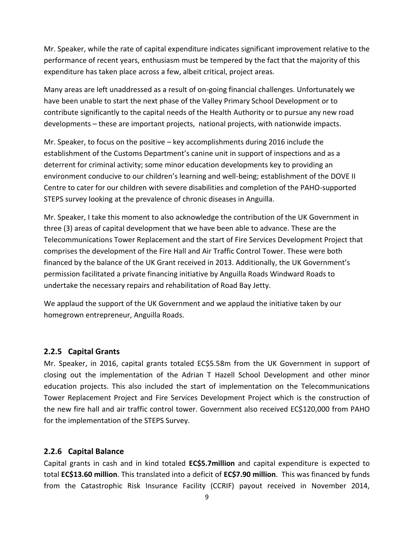Mr. Speaker, while the rate of capital expenditure indicates significant improvement relative to the performance of recent years, enthusiasm must be tempered by the fact that the majority of this expenditure has taken place across a few, albeit critical, project areas.

Many areas are left unaddressed as a result of on-going financial challenges. Unfortunately we have been unable to start the next phase of the Valley Primary School Development or to contribute significantly to the capital needs of the Health Authority or to pursue any new road developments – these are important projects, national projects, with nationwide impacts.

Mr. Speaker, to focus on the positive – key accomplishments during 2016 include the establishment of the Customs Department's canine unit in support of inspections and as a deterrent for criminal activity; some minor education developments key to providing an environment conducive to our children's learning and well-being; establishment of the DOVE II Centre to cater for our children with severe disabilities and completion of the PAHO-supported STEPS survey looking at the prevalence of chronic diseases in Anguilla.

Mr. Speaker, I take this moment to also acknowledge the contribution of the UK Government in three (3) areas of capital development that we have been able to advance. These are the Telecommunications Tower Replacement and the start of Fire Services Development Project that comprises the development of the Fire Hall and Air Traffic Control Tower. These were both financed by the balance of the UK Grant received in 2013. Additionally, the UK Government's permission facilitated a private financing initiative by Anguilla Roads Windward Roads to undertake the necessary repairs and rehabilitation of Road Bay Jetty.

We applaud the support of the UK Government and we applaud the initiative taken by our homegrown entrepreneur, Anguilla Roads.

#### **2.2.5 Capital Grants**

Mr. Speaker, in 2016, capital grants totaled EC\$5.58m from the UK Government in support of closing out the implementation of the Adrian T Hazell School Development and other minor education projects. This also included the start of implementation on the Telecommunications Tower Replacement Project and Fire Services Development Project which is the construction of the new fire hall and air traffic control tower. Government also received EC\$120,000 from PAHO for the implementation of the STEPS Survey.

#### **2.2.6 Capital Balance**

Capital grants in cash and in kind totaled **EC\$5.7million** and capital expenditure is expected to total **EC\$13.60 million**. This translated into a deficit of **EC\$7.90 million**. This was financed by funds from the Catastrophic Risk Insurance Facility (CCRIF) payout received in November 2014,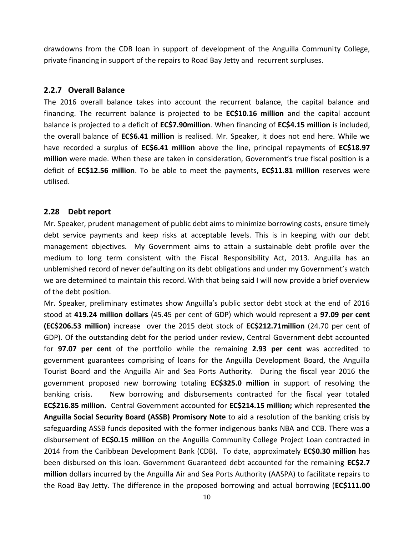drawdowns from the CDB loan in support of development of the Anguilla Community College, private financing in support of the repairs to Road Bay Jetty and recurrent surpluses.

#### **2.2.7 Overall Balance**

The 2016 overall balance takes into account the recurrent balance, the capital balance and financing. The recurrent balance is projected to be **EC\$10.16 million** and the capital account balance is projected to a deficit of **EC\$7.90million**. When financing of **EC\$4.15 million** is included, the overall balance of **EC\$6.41 million** is realised. Mr. Speaker, it does not end here. While we have recorded a surplus of **EC\$6.41 million** above the line, principal repayments of **EC\$18.97 million** were made. When these are taken in consideration, Government's true fiscal position is a deficit of **EC\$12.56 million**. To be able to meet the payments, **EC\$11.81 million** reserves were utilised.

#### **2.28 Debt report**

Mr. Speaker, prudent management of public debt aims to minimize borrowing costs, ensure timely debt service payments and keep risks at acceptable levels. This is in keeping with our debt management objectives. My Government aims to attain a sustainable debt profile over the medium to long term consistent with the Fiscal Responsibility Act, 2013. Anguilla has an unblemished record of never defaulting on its debt obligations and under my Government's watch we are determined to maintain this record. With that being said I will now provide a brief overview of the debt position.

Mr. Speaker, preliminary estimates show Anguilla's public sector debt stock at the end of 2016 stood at **419.24 million dollars** (45.45 per cent of GDP) which would represent a **97.09 per cent (EC\$206.53 million)** increase over the 2015 debt stock of **EC\$212.71million** (24.70 per cent of GDP). Of the outstanding debt for the period under review, Central Government debt accounted for **97.07 per cent** of the portfolio while the remaining **2.93 per cent** was accredited to government guarantees comprising of loans for the Anguilla Development Board, the Anguilla Tourist Board and the Anguilla Air and Sea Ports Authority. During the fiscal year 2016 the government proposed new borrowing totaling **EC\$325.0 million** in support of resolving the banking crisis. New borrowing and disbursements contracted for the fiscal year totaled **EC\$216.85 million.** Central Government accounted for **EC\$214.15 million;** which represented **the Anguilla Social Security Board (ASSB) Promisory Note** to aid a resolution of the banking crisis by safeguarding ASSB funds deposited with the former indigenous banks NBA and CCB. There was a disbursement of **EC\$0.15 million** on the Anguilla Community College Project Loan contracted in 2014 from the Caribbean Development Bank (CDB). To date, approximately **EC\$0.30 million** has been disbursed on this loan. Government Guaranteed debt accounted for the remaining **EC\$2.7 million** dollars incurred by the Anguilla Air and Sea Ports Authority (AASPA) to facilitate repairs to the Road Bay Jetty. The difference in the proposed borrowing and actual borrowing (**EC\$111.00**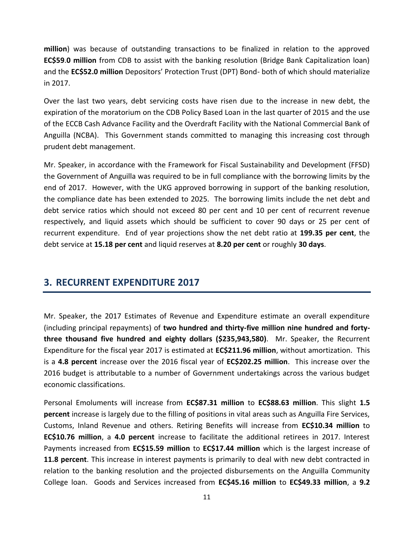**million**) was because of outstanding transactions to be finalized in relation to the approved **EC\$59**.**0 million** from CDB to assist with the banking resolution (Bridge Bank Capitalization loan) and the **EC\$52.0 million** Depositors' Protection Trust (DPT) Bond- both of which should materialize in 2017.

Over the last two years, debt servicing costs have risen due to the increase in new debt, the expiration of the moratorium on the CDB Policy Based Loan in the last quarter of 2015 and the use of the ECCB Cash Advance Facility and the Overdraft Facility with the National Commercial Bank of Anguilla (NCBA). This Government stands committed to managing this increasing cost through prudent debt management.

Mr. Speaker, in accordance with the Framework for Fiscal Sustainability and Development (FFSD) the Government of Anguilla was required to be in full compliance with the borrowing limits by the end of 2017. However, with the UKG approved borrowing in support of the banking resolution, the compliance date has been extended to 2025. The borrowing limits include the net debt and debt service ratios which should not exceed 80 per cent and 10 per cent of recurrent revenue respectively, and liquid assets which should be sufficient to cover 90 days or 25 per cent of recurrent expenditure. End of year projections show the net debt ratio at **199.35 per cent**, the debt service at **15.18 per cent** and liquid reserves at **8.20 per cent** or roughly **30 days**.

# **3. RECURRENT EXPENDITURE 2017**

Mr. Speaker, the 2017 Estimates of Revenue and Expenditure estimate an overall expenditure (including principal repayments) of **two hundred and thirty-five million nine hundred and fortythree thousand five hundred and eighty dollars (\$235,943,580)**. Mr. Speaker, the Recurrent Expenditure for the fiscal year 2017 is estimated at **EC\$211.96 million**, without amortization. This is a **4.8 percent** increase over the 2016 fiscal year of **EC\$202.25 million**. This increase over the 2016 budget is attributable to a number of Government undertakings across the various budget economic classifications.

Personal Emoluments will increase from **EC\$87.31 million** to **EC\$88.63 million**. This slight **1.5 percent** increase is largely due to the filling of positions in vital areas such as Anguilla Fire Services, Customs, Inland Revenue and others. Retiring Benefits will increase from **EC\$10.34 million** to **EC\$10.76 million**, a **4.0 percent** increase to facilitate the additional retirees in 2017. Interest Payments increased from **EC\$15.59 million** to **EC\$17.44 million** which is the largest increase of **11.8 percent**. This increase in interest payments is primarily to deal with new debt contracted in relation to the banking resolution and the projected disbursements on the Anguilla Community College loan. Goods and Services increased from **EC\$45.16 million** to **EC\$49.33 million**, a **9.2**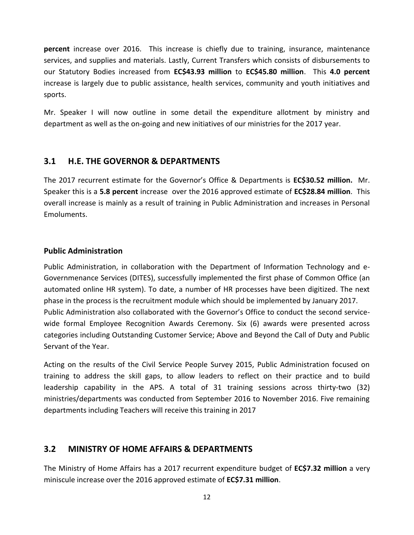**percent** increase over 2016. This increase is chiefly due to training, insurance, maintenance services, and supplies and materials. Lastly, Current Transfers which consists of disbursements to our Statutory Bodies increased from **EC\$43.93 million** to **EC\$45.80 million**. This **4.0 percent** increase is largely due to public assistance, health services, community and youth initiatives and sports.

Mr. Speaker I will now outline in some detail the expenditure allotment by ministry and department as well as the on-going and new initiatives of our ministries for the 2017 year.

## **3.1 H.E. THE GOVERNOR & DEPARTMENTS**

The 2017 recurrent estimate for the Governor's Office & Departments is **EC\$30.52 million.** Mr. Speaker this is a **5.8 percent** increase over the 2016 approved estimate of **EC\$28.84 million**. This overall increase is mainly as a result of training in Public Administration and increases in Personal Emoluments.

#### **Public Administration**

Public Administration, in collaboration with the Department of Information Technology and e-Governmenance Services (DITES), successfully implemented the first phase of Common Office (an automated online HR system). To date, a number of HR processes have been digitized. The next phase in the process is the recruitment module which should be implemented by January 2017. Public Administration also collaborated with the Governor's Office to conduct the second servicewide formal Employee Recognition Awards Ceremony. Six (6) awards were presented across categories including Outstanding Customer Service; Above and Beyond the Call of Duty and Public Servant of the Year.

Acting on the results of the Civil Service People Survey 2015, Public Administration focused on training to address the skill gaps, to allow leaders to reflect on their practice and to build leadership capability in the APS. A total of 31 training sessions across thirty-two (32) ministries/departments was conducted from September 2016 to November 2016. Five remaining departments including Teachers will receive this training in 2017

## **3.2 MINISTRY OF HOME AFFAIRS & DEPARTMENTS**

The Ministry of Home Affairs has a 2017 recurrent expenditure budget of **EC\$7.32 million** a very miniscule increase over the 2016 approved estimate of **EC\$7.31 million**.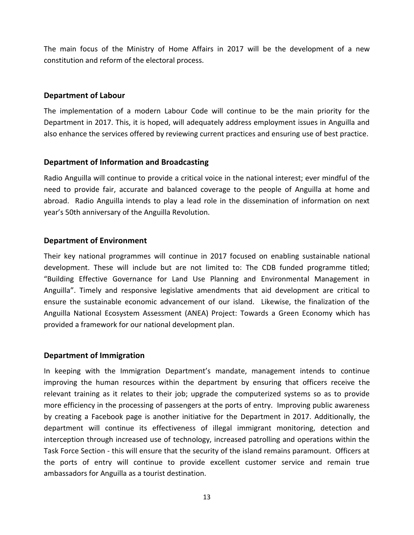The main focus of the Ministry of Home Affairs in 2017 will be the development of a new constitution and reform of the electoral process.

#### **Department of Labour**

The implementation of a modern Labour Code will continue to be the main priority for the Department in 2017. This, it is hoped, will adequately address employment issues in Anguilla and also enhance the services offered by reviewing current practices and ensuring use of best practice.

#### **Department of Information and Broadcasting**

Radio Anguilla will continue to provide a critical voice in the national interest; ever mindful of the need to provide fair, accurate and balanced coverage to the people of Anguilla at home and abroad. Radio Anguilla intends to play a lead role in the dissemination of information on next year's 50th anniversary of the Anguilla Revolution.

#### **Department of Environment**

Their key national programmes will continue in 2017 focused on enabling sustainable national development. These will include but are not limited to: The CDB funded programme titled; "Building Effective Governance for Land Use Planning and Environmental Management in Anguilla". Timely and responsive legislative amendments that aid development are critical to ensure the sustainable economic advancement of our island. Likewise, the finalization of the Anguilla National Ecosystem Assessment (ANEA) Project: Towards a Green Economy which has provided a framework for our national development plan.

#### **Department of Immigration**

In keeping with the Immigration Department's mandate, management intends to continue improving the human resources within the department by ensuring that officers receive the relevant training as it relates to their job; upgrade the computerized systems so as to provide more efficiency in the processing of passengers at the ports of entry. Improving public awareness by creating a Facebook page is another initiative for the Department in 2017. Additionally, the department will continue its effectiveness of illegal immigrant monitoring, detection and interception through increased use of technology, increased patrolling and operations within the Task Force Section - this will ensure that the security of the island remains paramount. Officers at the ports of entry will continue to provide excellent customer service and remain true ambassadors for Anguilla as a tourist destination.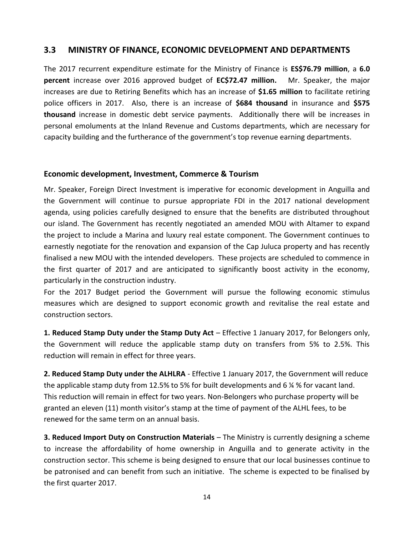#### **3.3 MINISTRY OF FINANCE, ECONOMIC DEVELOPMENT AND DEPARTMENTS**

The 2017 recurrent expenditure estimate for the Ministry of Finance is **ES\$76.79 million**, a **6.0 percent** increase over 2016 approved budget of **EC\$72.47 million.** Mr. Speaker, the major increases are due to Retiring Benefits which has an increase of **\$1.65 million** to facilitate retiring police officers in 2017. Also, there is an increase of **\$684 thousand** in insurance and **\$575 thousand** increase in domestic debt service payments. Additionally there will be increases in personal emoluments at the Inland Revenue and Customs departments, which are necessary for capacity building and the furtherance of the government's top revenue earning departments.

#### **Economic development, Investment, Commerce & Tourism**

Mr. Speaker, Foreign Direct Investment is imperative for economic development in Anguilla and the Government will continue to pursue appropriate FDI in the 2017 national development agenda, using policies carefully designed to ensure that the benefits are distributed throughout our island. The Government has recently negotiated an amended MOU with Altamer to expand the project to include a Marina and luxury real estate component. The Government continues to earnestly negotiate for the renovation and expansion of the Cap Juluca property and has recently finalised a new MOU with the intended developers. These projects are scheduled to commence in the first quarter of 2017 and are anticipated to significantly boost activity in the economy, particularly in the construction industry.

For the 2017 Budget period the Government will pursue the following economic stimulus measures which are designed to support economic growth and revitalise the real estate and construction sectors.

**1. Reduced Stamp Duty under the Stamp Duty Act** – Effective 1 January 2017, for Belongers only, the Government will reduce the applicable stamp duty on transfers from 5% to 2.5%. This reduction will remain in effect for three years.

**2. Reduced Stamp Duty under the ALHLRA** - Effective 1 January 2017, the Government will reduce the applicable stamp duty from 12.5% to 5% for built developments and 6 ¼ % for vacant land. This reduction will remain in effect for two years. Non-Belongers who purchase property will be granted an eleven (11) month visitor's stamp at the time of payment of the ALHL fees, to be renewed for the same term on an annual basis.

**3. Reduced Import Duty on Construction Materials** – The Ministry is currently designing a scheme to increase the affordability of home ownership in Anguilla and to generate activity in the construction sector. This scheme is being designed to ensure that our local businesses continue to be patronised and can benefit from such an initiative. The scheme is expected to be finalised by the first quarter 2017.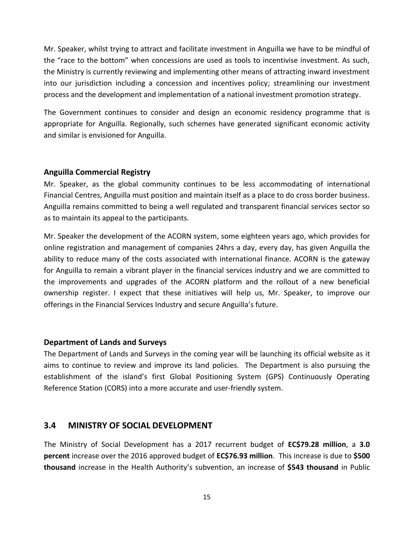Mr. Speaker, whilst trying to attract and facilitate investment in Anguilla we have to be mindful of the "race to the bottom" when concessions are used as tools to incentivise investment. As such, the Ministry is currently reviewing and implementing other means of attracting inward investment into our jurisdiction including a concession and incentives policy; streamlining our investment process and the development and implementation of a national investment promotion strategy.

The Government continues to consider and design an economic residency programme that is appropriate for Anguilla. Regionally, such schemes have generated significant economic activity and similar is envisioned for Anguilla.

#### **Anguilla Commercial Registry**

Mr. Speaker, as the global community continues to be less accommodating of international Financial Centres, Anguilla must position and maintain itself as a place to do cross border business. Anguilla remains committed to being a well regulated and transparent financial services sector so as to maintain its appeal to the participants.

Mr. Speaker the development of the ACORN system, some eighteen years ago, which provides for online registration and management of companies 24hrs a day, every day, has given Anguilla the ability to reduce many of the costs associated with international finance. ACORN is the gateway for Anguilla to remain a vibrant player in the financial services industry and we are committed to the improvements and upgrades of the ACORN platform and the rollout of a new beneficial ownership register. I expect that these initiatives will help us, Mr. Speaker, to improve our offerings in the Financial Services Industry and secure Anguilla's future.

#### **Department of Lands and Surveys**

The Department of Lands and Surveys in the coming year will be launching its official website as it aims to continue to review and improve its land policies. The Department is also pursuing the establishment of the island's first Global Positioning System (GPS) Continuously Operating Reference Station (CORS) into a more accurate and user-friendly system.

#### **3.4 MINISTRY OF SOCIAL DEVELOPMENT**

The Ministry of Social Development has a 2017 recurrent budget of **EC\$79.28 million**, a **3.0 percent** increase over the 2016 approved budget of **EC\$76.93 million**. This increase is due to **\$500 thousand** increase in the Health Authority's subvention, an increase of **\$543 thousand** in Public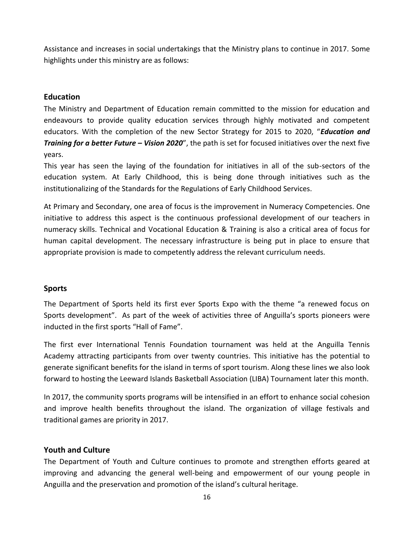Assistance and increases in social undertakings that the Ministry plans to continue in 2017. Some highlights under this ministry are as follows:

#### **Education**

The Ministry and Department of Education remain committed to the mission for education and endeavours to provide quality education services through highly motivated and competent educators. With the completion of the new Sector Strategy for 2015 to 2020, "*Education and Training for a better Future – Vision 2020*", the path is set for focused initiatives over the next five years.

This year has seen the laying of the foundation for initiatives in all of the sub-sectors of the education system. At Early Childhood, this is being done through initiatives such as the institutionalizing of the Standards for the Regulations of Early Childhood Services.

At Primary and Secondary, one area of focus is the improvement in Numeracy Competencies. One initiative to address this aspect is the continuous professional development of our teachers in numeracy skills. Technical and Vocational Education & Training is also a critical area of focus for human capital development. The necessary infrastructure is being put in place to ensure that appropriate provision is made to competently address the relevant curriculum needs.

#### **Sports**

The Department of Sports held its first ever Sports Expo with the theme "a renewed focus on Sports development". As part of the week of activities three of Anguilla's sports pioneers were inducted in the first sports "Hall of Fame".

The first ever International Tennis Foundation tournament was held at the Anguilla Tennis Academy attracting participants from over twenty countries. This initiative has the potential to generate significant benefits for the island in terms of sport tourism. Along these lines we also look forward to hosting the Leeward Islands Basketball Association (LIBA) Tournament later this month.

In 2017, the community sports programs will be intensified in an effort to enhance social cohesion and improve health benefits throughout the island. The organization of village festivals and traditional games are priority in 2017.

## **Youth and Culture**

The Department of Youth and Culture continues to promote and strengthen efforts geared at improving and advancing the general well-being and empowerment of our young people in Anguilla and the preservation and promotion of the island's cultural heritage.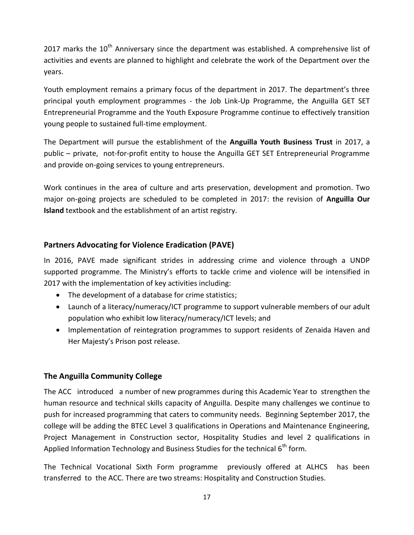2017 marks the  $10<sup>th</sup>$  Anniversary since the department was established. A comprehensive list of activities and events are planned to highlight and celebrate the work of the Department over the years.

Youth employment remains a primary focus of the department in 2017. The department's three principal youth employment programmes - the Job Link-Up Programme, the Anguilla GET SET Entrepreneurial Programme and the Youth Exposure Programme continue to effectively transition young people to sustained full-time employment.

The Department will pursue the establishment of the **Anguilla Youth Business Trust** in 2017, a public – private, not-for-profit entity to house the Anguilla GET SET Entrepreneurial Programme and provide on-going services to young entrepreneurs.

Work continues in the area of culture and arts preservation, development and promotion. Two major on-going projects are scheduled to be completed in 2017: the revision of **Anguilla Our Island** textbook and the establishment of an artist registry.

#### **Partners Advocating for Violence Eradication (PAVE)**

In 2016, PAVE made significant strides in addressing crime and violence through a UNDP supported programme. The Ministry's efforts to tackle crime and violence will be intensified in 2017 with the implementation of key activities including:

- The development of a database for crime statistics;
- Launch of a literacy/numeracy/ICT programme to support vulnerable members of our adult population who exhibit low literacy/numeracy/ICT levels; and
- Implementation of reintegration programmes to support residents of Zenaida Haven and Her Majesty's Prison post release.

#### **The Anguilla Community College**

The ACC introduced a number of new programmes during this Academic Year to strengthen the human resource and technical skills capacity of Anguilla. Despite many challenges we continue to push for increased programming that caters to community needs. Beginning September 2017, the college will be adding the BTEC Level 3 qualifications in Operations and Maintenance Engineering, Project Management in Construction sector, Hospitality Studies and level 2 qualifications in Applied Information Technology and Business Studies for the technical  $6<sup>th</sup>$  form.

The Technical Vocational Sixth Form programme previously offered at ALHCS has been transferred to the ACC. There are two streams: Hospitality and Construction Studies.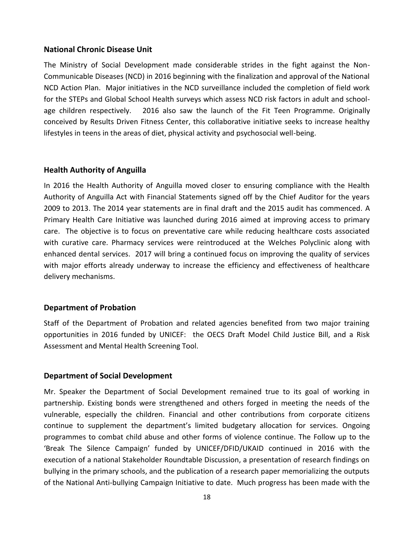#### **National Chronic Disease Unit**

The Ministry of Social Development made considerable strides in the fight against the Non-Communicable Diseases (NCD) in 2016 beginning with the finalization and approval of the National NCD Action Plan. Major initiatives in the NCD surveillance included the completion of field work for the STEPs and Global School Health surveys which assess NCD risk factors in adult and schoolage children respectively. 2016 also saw the launch of the Fit Teen Programme. Originally conceived by Results Driven Fitness Center, this collaborative initiative seeks to increase healthy lifestyles in teens in the areas of diet, physical activity and psychosocial well-being.

#### **Health Authority of Anguilla**

In 2016 the Health Authority of Anguilla moved closer to ensuring compliance with the Health Authority of Anguilla Act with Financial Statements signed off by the Chief Auditor for the years 2009 to 2013. The 2014 year statements are in final draft and the 2015 audit has commenced. A Primary Health Care Initiative was launched during 2016 aimed at improving access to primary care. The objective is to focus on preventative care while reducing healthcare costs associated with curative care. Pharmacy services were reintroduced at the Welches Polyclinic along with enhanced dental services. 2017 will bring a continued focus on improving the quality of services with major efforts already underway to increase the efficiency and effectiveness of healthcare delivery mechanisms.

#### **Department of Probation**

Staff of the Department of Probation and related agencies benefited from two major training opportunities in 2016 funded by UNICEF: the OECS Draft Model Child Justice Bill, and a Risk Assessment and Mental Health Screening Tool.

#### **Department of Social Development**

Mr. Speaker the Department of Social Development remained true to its goal of working in partnership. Existing bonds were strengthened and others forged in meeting the needs of the vulnerable, especially the children. Financial and other contributions from corporate citizens continue to supplement the department's limited budgetary allocation for services. Ongoing programmes to combat child abuse and other forms of violence continue. The Follow up to the 'Break The Silence Campaign' funded by UNICEF/DFID/UKAID continued in 2016 with the execution of a national Stakeholder Roundtable Discussion, a presentation of research findings on bullying in the primary schools, and the publication of a research paper memorializing the outputs of the National Anti-bullying Campaign Initiative to date. Much progress has been made with the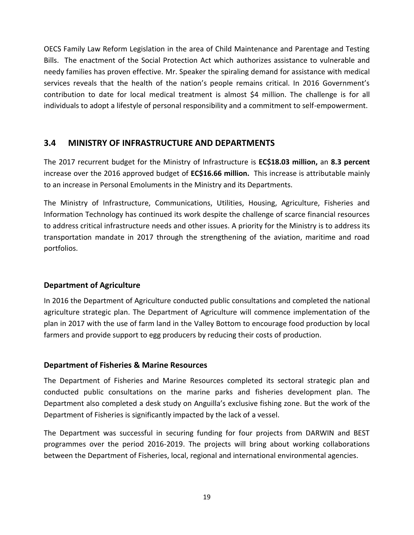OECS Family Law Reform Legislation in the area of Child Maintenance and Parentage and Testing Bills. The enactment of the Social Protection Act which authorizes assistance to vulnerable and needy families has proven effective. Mr. Speaker the spiraling demand for assistance with medical services reveals that the health of the nation's people remains critical. In 2016 Government's contribution to date for local medical treatment is almost \$4 million. The challenge is for all individuals to adopt a lifestyle of personal responsibility and a commitment to self-empowerment.

## **3.4 MINISTRY OF INFRASTRUCTURE AND DEPARTMENTS**

The 2017 recurrent budget for the Ministry of Infrastructure is **EC\$18.03 million,** an **8.3 percent** increase over the 2016 approved budget of **EC\$16.66 million.** This increase is attributable mainly to an increase in Personal Emoluments in the Ministry and its Departments.

The Ministry of Infrastructure, Communications, Utilities, Housing, Agriculture, Fisheries and Information Technology has continued its work despite the challenge of scarce financial resources to address critical infrastructure needs and other issues. A priority for the Ministry is to address its transportation mandate in 2017 through the strengthening of the aviation, maritime and road portfolios.

## **Department of Agriculture**

In 2016 the Department of Agriculture conducted public consultations and completed the national agriculture strategic plan. The Department of Agriculture will commence implementation of the plan in 2017 with the use of farm land in the Valley Bottom to encourage food production by local farmers and provide support to egg producers by reducing their costs of production.

## **Department of Fisheries & Marine Resources**

The Department of Fisheries and Marine Resources completed its sectoral strategic plan and conducted public consultations on the marine parks and fisheries development plan. The Department also completed a desk study on Anguilla's exclusive fishing zone. But the work of the Department of Fisheries is significantly impacted by the lack of a vessel.

The Department was successful in securing funding for four projects from DARWIN and BEST programmes over the period 2016-2019. The projects will bring about working collaborations between the Department of Fisheries, local, regional and international environmental agencies.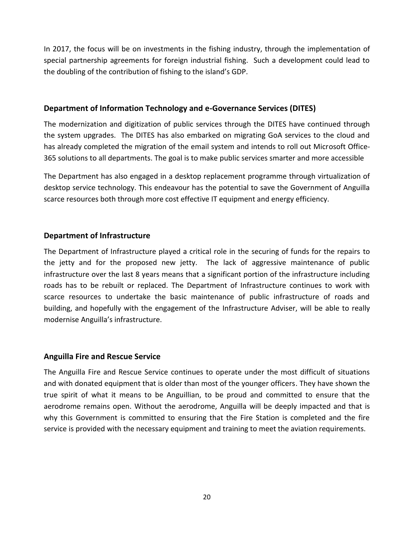In 2017, the focus will be on investments in the fishing industry, through the implementation of special partnership agreements for foreign industrial fishing. Such a development could lead to the doubling of the contribution of fishing to the island's GDP.

#### **Department of Information Technology and e-Governance Services (DITES)**

The modernization and digitization of public services through the DITES have continued through the system upgrades. The DITES has also embarked on migrating GoA services to the cloud and has already completed the migration of the email system and intends to roll out Microsoft Office-365 solutions to all departments. The goal is to make public services smarter and more accessible

The Department has also engaged in a desktop replacement programme through virtualization of desktop service technology. This endeavour has the potential to save the Government of Anguilla scarce resources both through more cost effective IT equipment and energy efficiency.

#### **Department of Infrastructure**

The Department of Infrastructure played a critical role in the securing of funds for the repairs to the jetty and for the proposed new jetty. The lack of aggressive maintenance of public infrastructure over the last 8 years means that a significant portion of the infrastructure including roads has to be rebuilt or replaced. The Department of Infrastructure continues to work with scarce resources to undertake the basic maintenance of public infrastructure of roads and building, and hopefully with the engagement of the Infrastructure Adviser, will be able to really modernise Anguilla's infrastructure.

#### **Anguilla Fire and Rescue Service**

The Anguilla Fire and Rescue Service continues to operate under the most difficult of situations and with donated equipment that is older than most of the younger officers. They have shown the true spirit of what it means to be Anguillian, to be proud and committed to ensure that the aerodrome remains open. Without the aerodrome, Anguilla will be deeply impacted and that is why this Government is committed to ensuring that the Fire Station is completed and the fire service is provided with the necessary equipment and training to meet the aviation requirements.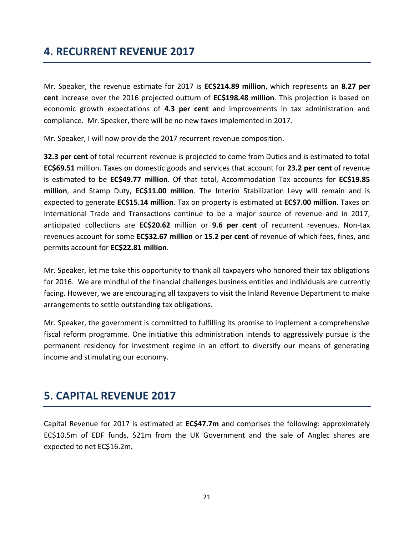# **4. RECURRENT REVENUE 2017**

Mr. Speaker, the revenue estimate for 2017 is **EC\$214.89 million**, which represents an **8.27 per cent** increase over the 2016 projected outturn of **EC\$198.48 million**. This projection is based on economic growth expectations of **4.3 per cent** and improvements in tax administration and compliance. Mr. Speaker, there will be no new taxes implemented in 2017.

Mr. Speaker, I will now provide the 2017 recurrent revenue composition.

**32.3 per cent** of total recurrent revenue is projected to come from Duties and is estimated to total **EC\$69.51** million. Taxes on domestic goods and services that account for **23.2 per cent** of revenue is estimated to be **EC\$49.77 million**. Of that total, Accommodation Tax accounts for **EC\$19.85 million**, and Stamp Duty, **EC\$11.00 million**. The Interim Stabilization Levy will remain and is expected to generate **EC\$15.14 million**. Tax on property is estimated at **EC\$7.00 million**. Taxes on International Trade and Transactions continue to be a major source of revenue and in 2017, anticipated collections are **EC\$20.62** million or **9.6 per cent** of recurrent revenues. Non-tax revenues account for some **EC\$32.67 million** or **15.2 per cent** of revenue of which fees, fines, and permits account for **EC\$22.81 million**.

Mr. Speaker, let me take this opportunity to thank all taxpayers who honored their tax obligations for 2016. We are mindful of the financial challenges business entities and individuals are currently facing. However, we are encouraging all taxpayers to visit the Inland Revenue Department to make arrangements to settle outstanding tax obligations.

Mr. Speaker, the government is committed to fulfilling its promise to implement a comprehensive fiscal reform programme. One initiative this administration intends to aggressively pursue is the permanent residency for investment regime in an effort to diversify our means of generating income and stimulating our economy.

# **5. CAPITAL REVENUE 2017**

Capital Revenue for 2017 is estimated at **EC\$47.7m** and comprises the following: approximately EC\$10.5m of EDF funds, \$21m from the UK Government and the sale of Anglec shares are expected to net EC\$16.2m.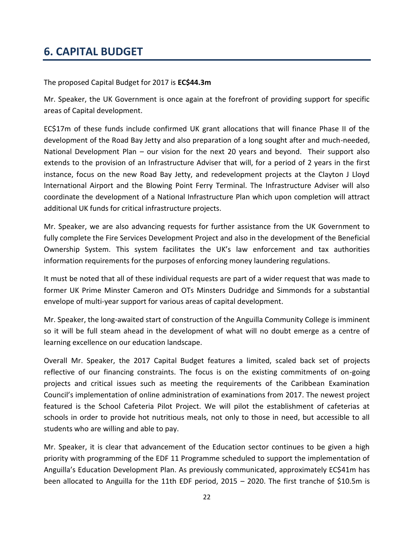# **6. CAPITAL BUDGET**

The proposed Capital Budget for 2017 is **EC\$44.3m**

Mr. Speaker, the UK Government is once again at the forefront of providing support for specific areas of Capital development.

EC\$17m of these funds include confirmed UK grant allocations that will finance Phase II of the development of the Road Bay Jetty and also preparation of a long sought after and much-needed, National Development Plan – our vision for the next 20 years and beyond. Their support also extends to the provision of an Infrastructure Adviser that will, for a period of 2 years in the first instance, focus on the new Road Bay Jetty, and redevelopment projects at the Clayton J Lloyd International Airport and the Blowing Point Ferry Terminal. The Infrastructure Adviser will also coordinate the development of a National Infrastructure Plan which upon completion will attract additional UK funds for critical infrastructure projects.

Mr. Speaker, we are also advancing requests for further assistance from the UK Government to fully complete the Fire Services Development Project and also in the development of the Beneficial Ownership System. This system facilitates the UK's law enforcement and tax authorities information requirements for the purposes of enforcing money laundering regulations.

It must be noted that all of these individual requests are part of a wider request that was made to former UK Prime Minster Cameron and OTs Minsters Dudridge and Simmonds for a substantial envelope of multi-year support for various areas of capital development.

Mr. Speaker, the long-awaited start of construction of the Anguilla Community College is imminent so it will be full steam ahead in the development of what will no doubt emerge as a centre of learning excellence on our education landscape.

Overall Mr. Speaker, the 2017 Capital Budget features a limited, scaled back set of projects reflective of our financing constraints. The focus is on the existing commitments of on-going projects and critical issues such as meeting the requirements of the Caribbean Examination Council's implementation of online administration of examinations from 2017. The newest project featured is the School Cafeteria Pilot Project. We will pilot the establishment of cafeterias at schools in order to provide hot nutritious meals, not only to those in need, but accessible to all students who are willing and able to pay.

Mr. Speaker, it is clear that advancement of the Education sector continues to be given a high priority with programming of the EDF 11 Programme scheduled to support the implementation of Anguilla's Education Development Plan. As previously communicated, approximately EC\$41m has been allocated to Anguilla for the 11th EDF period, 2015 – 2020. The first tranche of \$10.5m is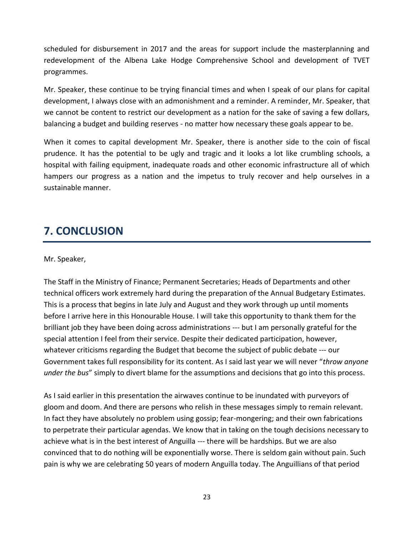scheduled for disbursement in 2017 and the areas for support include the masterplanning and redevelopment of the Albena Lake Hodge Comprehensive School and development of TVET programmes.

Mr. Speaker, these continue to be trying financial times and when I speak of our plans for capital development, I always close with an admonishment and a reminder. A reminder, Mr. Speaker, that we cannot be content to restrict our development as a nation for the sake of saving a few dollars, balancing a budget and building reserves - no matter how necessary these goals appear to be.

When it comes to capital development Mr. Speaker, there is another side to the coin of fiscal prudence. It has the potential to be ugly and tragic and it looks a lot like crumbling schools, a hospital with failing equipment, inadequate roads and other economic infrastructure all of which hampers our progress as a nation and the impetus to truly recover and help ourselves in a sustainable manner.

# **7. CONCLUSION**

Mr. Speaker,

The Staff in the Ministry of Finance; Permanent Secretaries; Heads of Departments and other technical officers work extremely hard during the preparation of the Annual Budgetary Estimates. This is a process that begins in late July and August and they work through up until moments before I arrive here in this Honourable House. I will take this opportunity to thank them for the brilliant job they have been doing across administrations --- but I am personally grateful for the special attention I feel from their service. Despite their dedicated participation, however, whatever criticisms regarding the Budget that become the subject of public debate --- our Government takes full responsibility for its content. As I said last year we will never "*throw anyone under the bus*" simply to divert blame for the assumptions and decisions that go into this process.

As I said earlier in this presentation the airwaves continue to be inundated with purveyors of gloom and doom. And there are persons who relish in these messages simply to remain relevant. In fact they have absolutely no problem using gossip; fear-mongering; and their own fabrications to perpetrate their particular agendas. We know that in taking on the tough decisions necessary to achieve what is in the best interest of Anguilla --- there will be hardships. But we are also convinced that to do nothing will be exponentially worse. There is seldom gain without pain. Such pain is why we are celebrating 50 years of modern Anguilla today. The Anguillians of that period